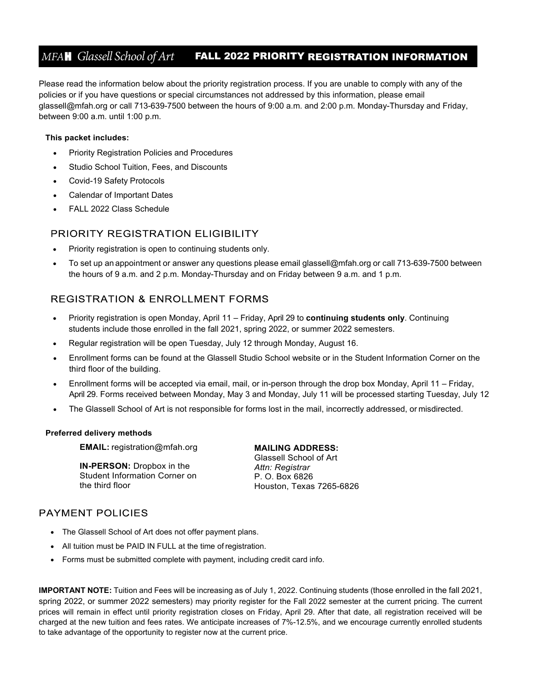## *MFA*H *Glassell School of Art* FALL 2022 PRIORITY REGISTRATION INFORMATION .

Please read the information below about the priority registration process. If you are unable to comply with any of the policies or if you have questions or special circumstances not addressed by this information, please email [glassell@mfah.org o](mailto:glassell@mfah.org)r call 713-639-7500 between the hours of 9:00 a.m. and 2:00 p.m. Monday-Thursday and Friday, between 9:00 a.m. until 1:00 p.m.

#### **This packet includes:**

- Priority Registration Policies and Procedures
- Studio School Tuition, Fees, and Discounts
- Covid-19 Safety Protocols
- Calendar of Important Dates
- FALL 2022 Class Schedule

#### PRIORITY REGISTRATION ELIGIBILITY

- Priority registration is open to continuing students only.
- To set up an appointment or answer any questions please email [glassell@mfah.org o](mailto:glassell@mfah.org)r call 713-639-7500 between the hours of 9 a.m. and 2 p.m. Monday-Thursday and on Friday between 9 a.m. and 1 p.m.

#### **REGISTRATION & ENROLLMENT FORMS**

- Priority registration is open Monday, April 11 Friday, April 29 to **continuing students only**. Continuing students include those enrolled in the fall 2021, spring 2022, or summer 2022 semesters.
- Regular registration will be open Tuesday, July 12 through Monday, August 16.
- Enrollment forms can be found at the Glassell Studio School website or in the Student Information Corner on the third floor of the building.
- Enrollment forms will be accepted via email, mail, or in-person through the drop box Monday, April 11 Friday, April 29. Forms received between Monday, May 3 and Monday, July 11 will be processed starting Tuesday, July 12
- The Glassell School of Art is not responsible for forms lost in the mail, incorrectly addressed, or misdirected.

#### **Preferred delivery methods**

**EMAIL:** [registration@mfah.org](mailto:registration@mfah.org)

**IN-PERSON:** Dropbox in the Student Information Corner on the third floor

**MAILING ADDRESS:** Glassell School of Art *Attn: Registrar* P. O. Box 6826 Houston, Texas 7265-6826

#### **PAYMENT POLICIES**

- The Glassell School of Art does not offer payment plans.
- All tuition must be PAID IN FULL at the time of registration.
- Forms must be submitted complete with payment, including credit card info.

**IMPORTANT NOTE:** Tuition and Fees will be increasing as of July 1, 2022. Continuing students (those enrolled in the fall 2021, spring 2022, or summer 2022 semesters) may priority register for the Fall 2022 semester at the current pricing. The current prices will remain in effect until priority registration closes on Friday, April 29. After that date, all registration received will be charged at the new tuition and fees rates. We anticipate increases of 7%-12.5%, and we encourage currently enrolled students to take advantage of the opportunity to register now at the current price.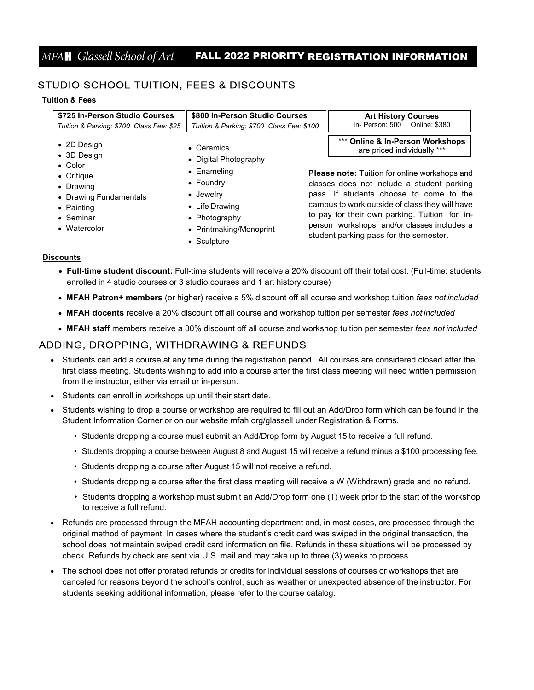## *MFA*H *Glassell School of Art* FALL 2022 PRIORITY REGISTRATION INFORMATION .

### STUDIO SCHOOL TUITION, FEES & DISCOUNTS

#### **Tuition & Fees**

| \$725 In-Person Studio Courses<br>Tuition & Parking: \$700 Class Fee: \$25 | \$800 In-Person Studio Courses<br>In- Person: 500<br>Tuition & Parking: \$700 Class Fee: \$100 |  | <b>Art History Courses</b><br>Online: \$380    |
|----------------------------------------------------------------------------|------------------------------------------------------------------------------------------------|--|------------------------------------------------|
| $\bullet$ 2D Design                                                        | $\bullet$ Ceramics                                                                             |  | *** Online & In-Person Workshops               |
| • 3D Design                                                                | • Digital Photography                                                                          |  | are priced individually ***                    |
| $\bullet$ Color                                                            | • Enameling                                                                                    |  | Please note: Tuition for online workshops and  |
| $\bullet$ Critique                                                         | $\bullet$ Foundry                                                                              |  | classes does not include a student parking     |
| • Drawing                                                                  | • Jewelry                                                                                      |  | pass. If students choose to come to the        |
| • Drawing Fundamentals                                                     | $\bullet$ Life Drawing                                                                         |  | campus to work outside of class they will have |
| • Painting                                                                 | • Photography                                                                                  |  | to pay for their own parking. Tuition for in-  |
| • Seminar                                                                  | • Printmaking/Monoprint                                                                        |  | person workshops and/or classes includes a     |
| • Watercolor                                                               | • Sculpture                                                                                    |  | student parking pass for the semester.         |

#### **Discounts**

- **Full-time student discount:** Full-time students will receive a 20% discount off their total cost. (Full-time: students enrolled in 4 studio courses or 3 studio courses and 1 art history course)
- **MFAH Patron+ members** (or higher) receive a 5% discount off all course and workshop tuition *fees not included*
- **MFAH docents** receive a 20% discount off all course and workshop tuition per semester *fees not included*
- **MFAH staff** members receive a 30% discount off all course and workshop tuition per semester *fees not included*

#### ADDING, DROPPING, WITHDRAWING & REFUNDS

- Students can add a course at any time during the registration period. All courses are considered closed after the first class meeting. Students wishing to add into a course after the first class meeting will need written permission from the instructor, either via email or in-person.
- Students can enroll in workshops up until their start date.
- Students wishing to drop a course or workshop are required to fill out an Add/Drop form which can be found in the Student Information Corner or on our website [mfah.org/glassell](https://www.mfah.org/visit/glassell) under Registration & Forms.
	- Students dropping a course must submit an Add/Drop form by August 15 to receive a full refund.
	- Students dropping a course between August 8 and August 15 will receive a refund minus a \$100 processing fee.
	- Students dropping a course after August 15 will not receive a refund.
	- Students dropping a course after the first class meeting will receive a W (Withdrawn) grade and no refund.
	- Students dropping a workshop must submit an Add/Drop form one (1) week prior to the start of the workshop to receive a full refund.
- Refunds are processed through the MFAH accounting department and, in most cases, are processed through the original method of payment. In cases where the student's credit card was swiped in the original transaction, the school does not maintain swiped credit card information on file. Refunds in these situations will be processed by check. Refunds by check are sent via U.S. mail and may take up to three (3) weeks to process.
- The school does not offer prorated refunds or credits for individual sessions of courses or workshops that are canceled for reasons beyond the school's control, such as weather or unexpected absence of the instructor. For students seeking additional information, please refer to the course catalog.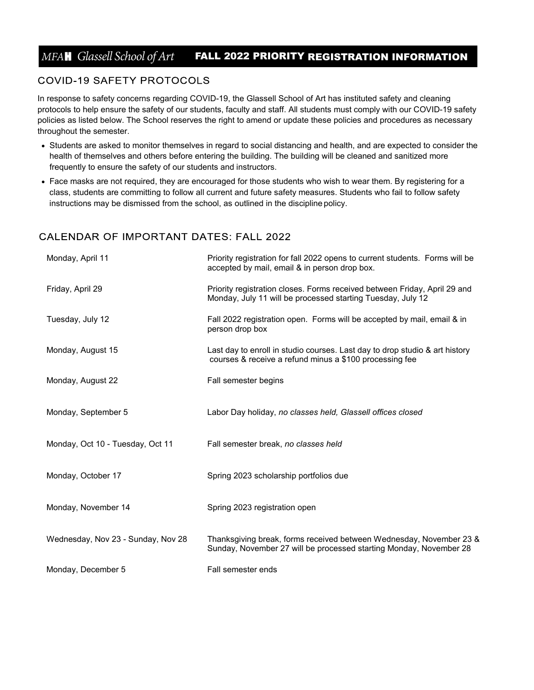## *MFA*H *Glassell School of Art* FALL 2022 PRIORITY REGISTRATION INFORMATION .

#### **COVID-19 SAFETY PROTOCOLS**

In response to safety concerns regarding COVID-19, the Glassell School of Art has instituted safety and cleaning protocols to help ensure the safety of our students, faculty and staff. All students must comply with our COVID-19 safety policies as listed below. The School reserves the right to amend or update these policies and procedures as necessary throughout the semester.

- Students are asked to monitor themselves in regard to social distancing and health, and are expected to consider the health of themselves and others before entering the building. The building will be cleaned and sanitized more frequently to ensure the safety of our students and instructors.
- Face masks are not required, they are encouraged for those students who wish to wear them. By registering for a class, students are committing to follow all current and future safety measures. Students who fail to follow safety instructions may be dismissed from the school, as outlined in the discipline policy.

#### **CALENDAR OF IMPORTANT DATES: FALL 2022**

| Monday, April 11                   | Priority registration for fall 2022 opens to current students. Forms will be<br>accepted by mail, email & in person drop box.             |
|------------------------------------|-------------------------------------------------------------------------------------------------------------------------------------------|
| Friday, April 29                   | Priority registration closes. Forms received between Friday, April 29 and<br>Monday, July 11 will be processed starting Tuesday, July 12  |
| Tuesday, July 12                   | Fall 2022 registration open. Forms will be accepted by mail, email & in<br>person drop box                                                |
| Monday, August 15                  | Last day to enroll in studio courses. Last day to drop studio & art history<br>courses & receive a refund minus a \$100 processing fee    |
| Monday, August 22                  | Fall semester begins                                                                                                                      |
| Monday, September 5                | Labor Day holiday, no classes held, Glassell offices closed                                                                               |
| Monday, Oct 10 - Tuesday, Oct 11   | Fall semester break, no classes held                                                                                                      |
| Monday, October 17                 | Spring 2023 scholarship portfolios due                                                                                                    |
| Monday, November 14                | Spring 2023 registration open                                                                                                             |
| Wednesday, Nov 23 - Sunday, Nov 28 | Thanksgiving break, forms received between Wednesday, November 23 &<br>Sunday, November 27 will be processed starting Monday, November 28 |
| Monday, December 5                 | Fall semester ends                                                                                                                        |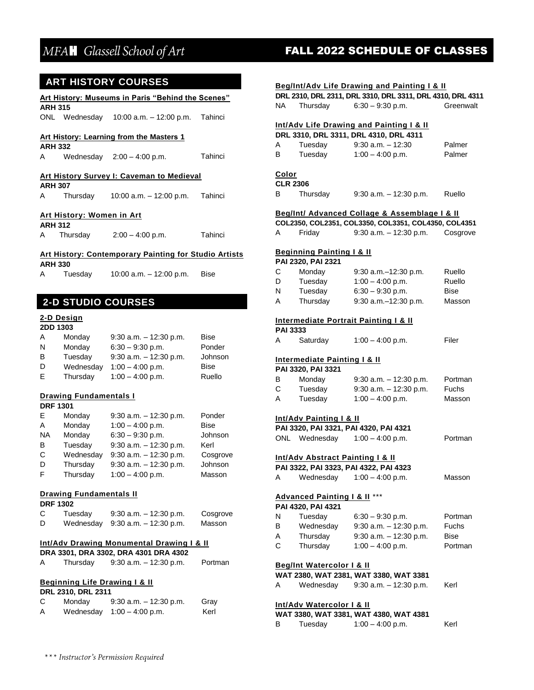#### **ART HISTORY COURSES**

|                | Art History: Museums in Paris "Behind the Scenes" |                                                              |  |  |  |
|----------------|---------------------------------------------------|--------------------------------------------------------------|--|--|--|
| <b>ARH 315</b> |                                                   | ONL Wednesday 10:00 a.m. - 12:00 p.m. Tahinci                |  |  |  |
| <b>ARH 332</b> |                                                   | <b>Art History: Learning from the Masters 1</b>              |  |  |  |
|                |                                                   | A Wednesday 2:00 - 4:00 p.m. Tahinci                         |  |  |  |
| <b>ARH 307</b> |                                                   | <b>Art History Survey I: Caveman to Medieval</b>             |  |  |  |
|                |                                                   | A Thursday 10:00 a.m. - 12:00 p.m. Tahinci                   |  |  |  |
| <b>ARH 312</b> | Art History: Women in Art                         |                                                              |  |  |  |
|                |                                                   | A Thursday 2:00 - 4:00 p.m. Tahinci                          |  |  |  |
|                |                                                   | <b>Art History: Contemporary Painting for Studio Artists</b> |  |  |  |
| <b>ARH 330</b> |                                                   | A Tuesday 10:00 a.m. - 12:00 p.m. Bise                       |  |  |  |
|                |                                                   |                                                              |  |  |  |
|                |                                                   | <b>2-D STUDIO COURSES</b>                                    |  |  |  |
| 2DD 1303       | 2-D Design                                        | $\sim$ $\sim$ $\sim$ $\sim$ $\sim$ $\sim$                    |  |  |  |

| A | Monday    | $9:30$ a.m. $-12:30$ p.m. | <b>Bise</b> |
|---|-----------|---------------------------|-------------|
| N | Monday    | $6:30 - 9:30$ p.m.        | Ponder      |
| B | Tuesday   | $9:30$ a.m. $-12:30$ p.m. | Johnson     |
| D | Wednesday | $1:00 - 4:00$ p.m.        | Bise        |
| Е | Thursday  | $1:00 - 4:00$ p.m.        | Ruello      |

#### **Drawing Fundamentals I**

#### **DRF 1301**

| F         | Monday    | $9:30$ a.m. $-12:30$ p.m. | Ponder      |
|-----------|-----------|---------------------------|-------------|
| A         | Monday    | $1:00 - 4:00$ p.m.        | <b>Bise</b> |
| <b>NA</b> | Monday    | $6:30 - 9:30$ p.m.        | Johnson     |
| B         | Tuesday   | $9:30$ a.m. $-12:30$ p.m. | Kerl        |
| C         | Wednesday | $9:30$ a.m. $-12:30$ p.m. | Cosgrove    |
| D         | Thursday  | $9:30$ a.m. $-12:30$ p.m. | Johnson     |
| F         | Thursday  | $1:00 - 4:00$ p.m.        | Masson      |

#### **Drawing Fundamentals II**

#### **DRF 1302**

| C | Tuesday | $9:30$ a.m. $-12:30$ p.m.        | Cosgrove |
|---|---------|----------------------------------|----------|
| D |         | Wednesday 9:30 a.m. - 12:30 p.m. | Masson   |

#### **Int/Adv Drawing Monumental Drawing I & II**

|   |          | DRA 3301, DRA 3302, DRA 4301 DRA 4302 |         |
|---|----------|---------------------------------------|---------|
| A | Thursday | $9:30$ a.m. $-12:30$ p.m.             | Portman |

#### **Beginning Life Drawing I & II**

#### **DRL 2310, DRL 2311**

| С | Monday | $9:30$ a.m. $-12:30$ p.m.    | Gray |
|---|--------|------------------------------|------|
| А |        | Wednesday $1:00 - 4:00$ p.m. | Kerl |

# MFAH Glassell School of Art **FALL 2022 SCHEDULE OF CLASSES**

| Beg/Int/Adv Life Drawing and Painting I & II |  |  |  |  |  |
|----------------------------------------------|--|--|--|--|--|
|----------------------------------------------|--|--|--|--|--|

|    |          | DRL 2310, DRL 2311, DRL 3310, DRL 3311, DRL 4310, DRL 4311 |           |
|----|----------|------------------------------------------------------------|-----------|
| NA | Thursday | $6:30 - 9:30$ p.m.                                         | Greenwalt |

#### **Int/Adv Life Drawing and Painting I & II DRL 3310, DRL 3311, DRL 4310, DRL 4311**

|   |         | DRL 3310, DRL 3311, DRL 4310, DRL 4311 |        |
|---|---------|----------------------------------------|--------|
| A | Tuesday | $9:30$ a.m. $-12:30$                   | Palmer |
| в | Tuesday | $1:00 - 4:00$ p.m.                     | Palmer |
|   |         |                                        |        |

#### **Color CLR 2306**

| B | Thursday | $9:30$ a.m. $-12:30$ p.m. | Ruello |
|---|----------|---------------------------|--------|
|   |          |                           |        |

#### **Beg/Int/ Advanced Collage & Assemblage I & II**

|   | COL2350, COL2351, COL3350, COL3351, COL4350, COL4351 |                           |          |
|---|------------------------------------------------------|---------------------------|----------|
| A | Friday                                               | $9:30$ a.m. $-12:30$ p.m. | Cosgrove |

#### **Beginning Painting I & II**

**PAI 2320, PAI 2321** 

| С | Monday   | $9:30$ a.m. $-12:30$ p.m. | Ruello      |
|---|----------|---------------------------|-------------|
| D | Tuesday  | $1:00 - 4:00$ p.m.        | Ruello      |
| N | Tuesday  | $6:30 - 9:30$ p.m.        | <b>Bise</b> |
| А | Thursday | $9:30$ a.m. $-12:30$ p.m. | Masson      |

#### **Intermediate Portrait Painting I & II**

| <b>PAI 3333</b> |                    |       |
|-----------------|--------------------|-------|
| Saturday        | $1:00 - 4:00$ p.m. | Filer |

#### **Intermediate Painting I & II**

**PAI 3320, PAI 3321** 

| В | Monday  | $9:30$ a.m. $-12:30$ p.m. | Portman      |
|---|---------|---------------------------|--------------|
| С | Tuesday | $9:30$ a.m. $-12:30$ p.m. | <b>Fuchs</b> |
| A | Tuesday | $1:00 - 4:00$ p.m.        | Masson       |

#### **Int/Adv Painting I & II**

|     |           | PAI 3320, PAI 3321, PAI 4320, PAI 4321 |         |
|-----|-----------|----------------------------------------|---------|
| ONL | Wednesday | $1:00 - 4:00$ p.m.                     | Portman |

#### **Int/Adv Abstract Painting I & II**

|   |           | PAI 3322, PAI 3323, PAI 4322, PAI 4323 |        |
|---|-----------|----------------------------------------|--------|
| A | Wednesday | $1:00 - 4:00$ p.m.                     | Masson |

#### **Advanced Painting I & II** \*\*\*

|   | Auvancea ranning ra m |                           |         |
|---|-----------------------|---------------------------|---------|
|   | PAI 4320, PAI 4321    |                           |         |
| N | Tuesday               | $6:30 - 9:30$ p.m.        | Portman |
| В | Wednesday             | $9:30$ a.m. $-12:30$ p.m. | Fuchs   |
| А | Thursday              | $9:30$ a.m. $-12:30$ p.m. | Bise    |
| С | Thursday              | $1:00 - 4:00$ p.m.        | Portman |
|   |                       |                           |         |

#### **Beg/Int Watercolor I & II**

**WAT 2380, WAT 2381, WAT 3380, WAT 3381** 

| A | Wednesday | $9:30$ a.m. $-12:30$ p.m. | Kerl |
|---|-----------|---------------------------|------|
|   |           |                           |      |

#### **Int/Adv Watercolor I & II**

|   |         | WAT 3380, WAT 3381, WAT 4380, WAT 4381 |      |
|---|---------|----------------------------------------|------|
| B | Tuesday | $1:00 - 4:00$ p.m.                     | Kerl |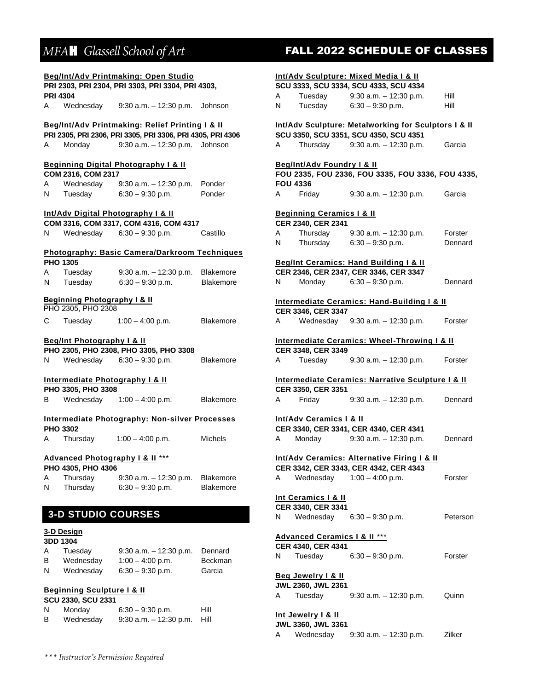|        |                                                               | Beg/Int/Adv Printmaking: Open Studio                       |                                      |   |                                          | <b>Int/Adv Sculpture: Mixed Media I &amp; II</b>        |          |
|--------|---------------------------------------------------------------|------------------------------------------------------------|--------------------------------------|---|------------------------------------------|---------------------------------------------------------|----------|
|        |                                                               | PRI 2303, PRI 2304, PRI 3303, PRI 3304, PRI 4303,          |                                      |   |                                          | SCU 3333, SCU 3334, SCU 4333, SCU 4334                  |          |
|        | <b>PRI 4304</b>                                               |                                                            |                                      | A | Tuesday                                  | $9:30$ a.m. $-12:30$ p.m.                               | Hill     |
| A      | Wednesday                                                     | $9:30$ a.m. $-12:30$ p.m. Johnson                          |                                      | N | Tuesday                                  | $6:30 - 9:30$ p.m.                                      | Hill     |
|        |                                                               | Beg/Int/Adv Printmaking: Relief Printing I & II            |                                      |   |                                          | Int/Adv Sculpture: Metalworking for Sculptors I & II    |          |
|        |                                                               | PRI 2305, PRI 2306, PRI 3305, PRI 3306, PRI 4305, PRI 4306 |                                      |   |                                          | SCU 3350, SCU 3351, SCU 4350, SCU 4351                  |          |
| A      | Monday                                                        | 9:30 a.m. - 12:30 p.m. Johnson                             |                                      | A | Thursday                                 | $9:30$ a.m. $-12:30$ p.m.                               | Garcia   |
|        |                                                               | <b>Beginning Digital Photography I &amp; II</b>            |                                      |   | Beg/Int/Adv Foundry I & II               |                                                         |          |
|        | COM 2316, COM 2317                                            |                                                            |                                      |   |                                          | FOU 2335, FOU 2336, FOU 3335, FOU 3336, FOU 4335,       |          |
| A      | Wednesday                                                     | $9:30$ a.m. $-12:30$ p.m.                                  | Ponder                               |   | <b>FOU 4336</b>                          |                                                         |          |
| Ν      | Tuesday                                                       | $6:30 - 9:30$ p.m.                                         | Ponder                               | A | Friday                                   | $9:30$ a.m. $-12:30$ p.m.                               | Garcia   |
|        |                                                               | Int/Adv Digital Photography   & II                         |                                      |   | <b>Beginning Ceramics   &amp; II</b>     |                                                         |          |
|        |                                                               | COM 3316, COM 3317, COM 4316, COM 4317                     |                                      |   | CER 2340, CER 2341                       |                                                         |          |
| N      | Wednesday                                                     | $6:30 - 9:30$ p.m.                                         | Castillo                             | A | Thursday                                 | $9:30$ a.m. $-12:30$ p.m.                               | Forster  |
|        |                                                               | Photography: Basic Camera/Darkroom Techniques              |                                      | N | Thursday                                 | $6:30 - 9:30$ p.m.                                      | Dennard  |
|        | <b>PHO 1305</b>                                               |                                                            |                                      |   |                                          | Beg/Int Ceramics: Hand Building I & II                  |          |
| Α      | Tuesday                                                       | $9:30$ a.m. $-12:30$ p.m.                                  | Blakemore                            |   |                                          | CER 2346, CER 2347, CER 3346, CER 3347                  |          |
| N      | Tuesday                                                       | $6:30 - 9:30$ p.m.                                         | Blakemore                            | N | Monday                                   | $6:30 - 9:30$ p.m.                                      | Dennard  |
|        | <b>Beginning Photography I &amp; II</b><br>PHO 2305, PHO 2308 |                                                            |                                      |   |                                          | <b>Intermediate Ceramics: Hand-Building I &amp; II</b>  |          |
|        |                                                               |                                                            |                                      |   | CER 3346, CER 3347                       |                                                         |          |
| С      | Tuesday                                                       | $1:00 - 4:00$ p.m.                                         | <b>Blakemore</b>                     | A | Wednesday                                | $9:30$ a.m. $-12:30$ p.m.                               | Forster  |
|        | <b>Beg/Int Photography I &amp; II</b>                         |                                                            |                                      |   |                                          | <b>Intermediate Ceramics: Wheel-Throwing I &amp; II</b> |          |
|        |                                                               | PHO 2305, PHO 2308, PHO 3305, PHO 3308                     |                                      |   | CER 3348, CER 3349                       |                                                         |          |
| N      | Wednesday                                                     | $6:30 - 9:30$ p.m.                                         | <b>Blakemore</b>                     | A | Tuesday                                  | $9:30$ a.m. $-12:30$ p.m.                               | Forster  |
|        |                                                               | Intermediate Photography I & II                            |                                      |   |                                          | Intermediate Ceramics: Narrative Sculpture I & II       |          |
|        | PHO 3305, PHO 3308                                            |                                                            |                                      |   | CER 3350, CER 3351                       |                                                         |          |
| В      | Wednesday                                                     | $1:00 - 4:00$ p.m.                                         | <b>Blakemore</b>                     | A | Friday                                   | $9:30$ a.m. $-12:30$ p.m.                               | Dennard  |
|        |                                                               | <b>Intermediate Photography: Non-silver Processes</b>      |                                      |   | Int/Adv Ceramics I & II                  |                                                         |          |
|        | <b>PHO 3302</b>                                               |                                                            |                                      |   |                                          | CER 3340, CER 3341, CER 4340, CER 4341                  |          |
| Α      | Thursday                                                      | $1:00 - 4:00$ p.m.                                         | <b>Michels</b>                       | A | Monday                                   | $9:30$ a.m. $-12:30$ p.m.                               | Dennard  |
|        |                                                               | <b>Advanced Photography I &amp; II</b> ***                 |                                      |   |                                          | Int/Adv Ceramics: Alternative Firing I & II             |          |
|        | PHO 4305, PHO 4306                                            |                                                            |                                      |   |                                          | CER 3342, CER 3343, CER 4342, CER 4343                  |          |
| Α<br>N | Thursday<br>Thursday                                          | $9:30$ a.m. $-12:30$ p.m.<br>$6:30 - 9:30$ p.m.            | <b>Blakemore</b><br><b>Blakemore</b> | A | Wednesday                                | $1:00 - 4:00$ p.m.                                      | Forster  |
|        |                                                               |                                                            |                                      |   | Int Ceramics   & II                      |                                                         |          |
|        |                                                               |                                                            |                                      |   | CER 3340, CER 3341                       |                                                         |          |
|        | <b>3-D STUDIO COURSES</b>                                     |                                                            |                                      | N | Wednesday                                | $6:30 - 9:30$ p.m.                                      | Peterson |
|        | 3-D Design<br>3DD 1304                                        |                                                            |                                      |   | <b>Advanced Ceramics   &amp;    ***</b>  |                                                         |          |
| Α      | Tuesday                                                       | $9:30$ a.m. $-12:30$ p.m.                                  | Dennard                              |   | CER 4340, CER 4341                       |                                                         |          |
| B      | Wednesday                                                     | $1:00 - 4:00$ p.m.                                         | Beckman                              | N | Tuesday                                  | $6:30 - 9:30$ p.m.                                      | Forster  |
| N      | Wednesday                                                     | $6:30 - 9:30$ p.m.                                         | Garcia                               |   | <b>Beg Jewelry I &amp; II</b>            |                                                         |          |
|        |                                                               |                                                            |                                      |   | JWL 2360, JWL 2361                       |                                                         |          |
|        | <b>Beginning Sculpture I &amp; II</b><br>SCU 2330, SCU 2331   |                                                            |                                      | A | Tuesday                                  | $9:30$ a.m. $-12:30$ p.m.                               | Quinn    |
| N      | Monday                                                        | $6:30 - 9:30$ p.m.                                         | Hill                                 |   |                                          |                                                         |          |
| B      | Wednesday                                                     | $9:30$ a.m. $-12:30$ p.m.                                  | Hill                                 |   | Int Jewelry   & II<br>JWL 3360, JWL 3361 |                                                         |          |

# MFAH Glassell School of Art **FALL 2022 SCHEDULE OF CLASSES**

A Wednesday 9:30 a.m. – 12:30 p.m. Zilker

| *** Instructor's Permission Required |  |
|--------------------------------------|--|